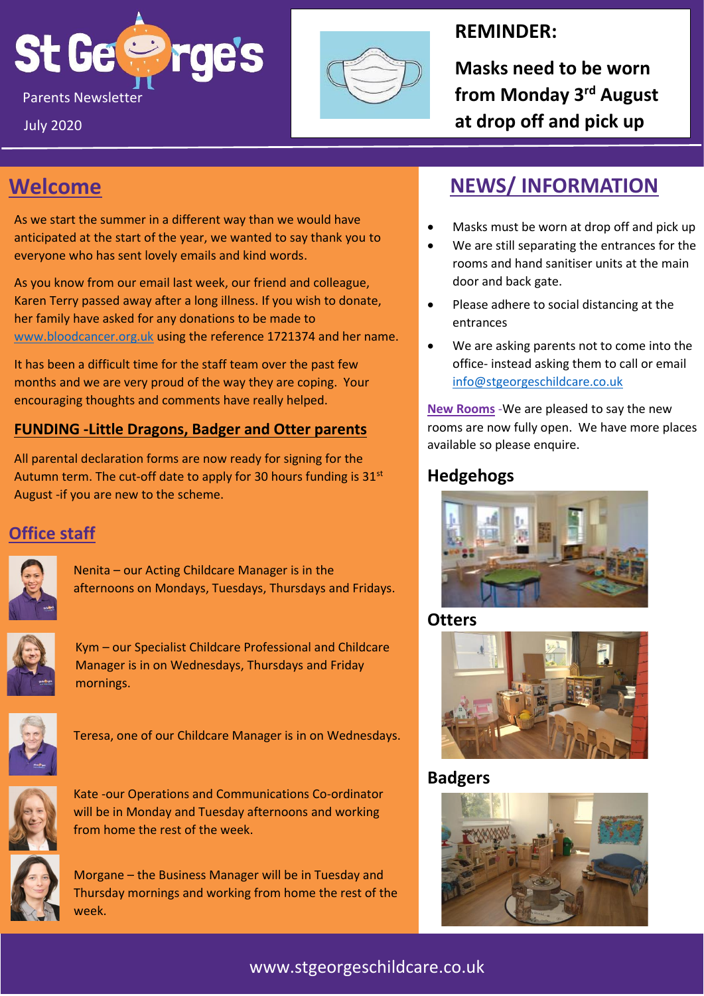



### **REMINDER:**

**Masks need to be worn at drop off and pick up**

# **Welcome**

July 2020

As we start the summer in a different way than we would have anticipated at the start of the year, we wanted to say thank you to everyone who has sent lovely emails and kind words.

As you know from our email last week, our friend and colleague, Karen Terry passed away after a long illness. If you wish to donate, her family have asked for any donations to be made to [www.bloodcancer.org.uk](http://www.bloodcancer.org.uk/) using the reference 1721374 and her name.

It has been a difficult time for the staff team over the past few months and we are very proud of the way they are coping. Your encouraging thoughts and comments have really helped.

#### **FUNDING -Little Dragons, Badger and Otter parents**

All parental declaration forms are now ready for signing for the Autumn term. The cut-off date to apply for 30 hours funding is  $31<sup>st</sup>$ August -if you are new to the scheme.

### **Office staff**

Nenita – our Acting Childcare Manager is in the afternoons on Mondays, Tuesdays, Thursdays and Fridays.



Kym – our Specialist Childcare Professional and Childcare Manager is in on Wednesdays, Thursdays and Friday mornings.



Teresa, one of our Childcare Manager is in on Wednesdays.



Kate -our Operations and Communications Co-ordinator will be in Monday and Tuesday afternoons and working from home the rest of the week.



Morgane – the Business Manager will be in Tuesday and Thursday mornings and working from home the rest of the week.

# **NEWS/ INFORMATION**

- Masks must be worn at drop off and pick up
- We are still separating the entrances for the rooms and hand sanitiser units at the main door and back gate.
- Please adhere to social distancing at the entrances
- We are asking parents not to come into the office- instead asking them to call or email [info@stgeorgeschildcare.co.uk](mailto:info@stgeorgeschildcare.co.uk)

**New Rooms** -We are pleased to say the new rooms are now fully open. We have more places available so please enquire.

#### **Hedgehogs**



**Otters**



**Badgers**



#### www.stgeorgeschildcare.co.uk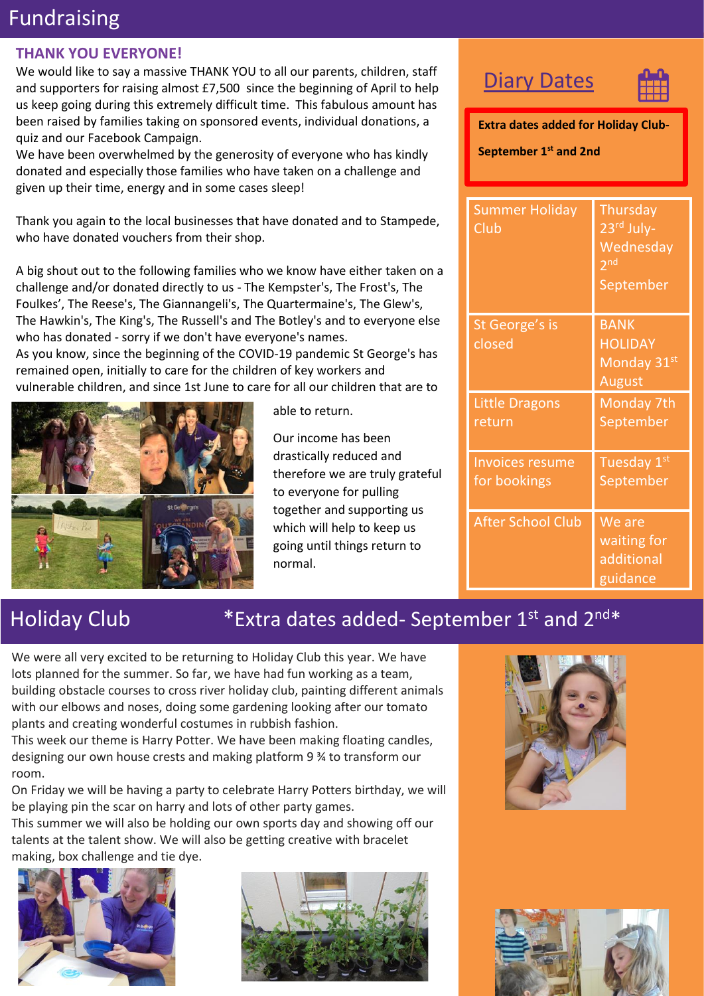# Fundraising

#### **THANK YOU EVERYONE!**

We would like to say a massive THANK YOU to all our parents, children, staff and supporters for raising almost £7,500 since the beginning of April to help us keep going during this extremely difficult time. This fabulous amount has been raised by families taking on sponsored events, individual donations, a quiz and our Facebook Campaign.

We have been overwhelmed by the generosity of everyone who has kindly donated and especially those families who have taken on a challenge and given up their time, energy and in some cases sleep!

Thank you again to the local businesses that have donated and to Stampede, who have donated vouchers from their shop.

A big shout out to the following families who we know have either taken on a challenge and/or donated directly to us - The Kempster's, The Frost's, The Foulkes', The Reese's, The Giannangeli's, The Quartermaine's, The Glew's, The Hawkin's, The King's, The Russell's and The Botley's and to everyone else who has donated - sorry if we don't have everyone's names.

As you know, since the beginning of the COVID-19 pandemic St George's has remained open, initially to care for the children of key workers and vulnerable children, and since 1st June to care for all our children that are to



able to return.

Our income has been drastically reduced and therefore we are truly grateful to everyone for pulling together and supporting us which will help to keep us going until things return to normal.

## **Diary Dates**



**Extra dates added for Holiday Club-September 1st and 2nd**

| Summer Holiday<br>Club                 | Thursday<br>23 <sup>rd</sup> July-<br>Wednesday<br>2 <sub>nd</sub><br>September |
|----------------------------------------|---------------------------------------------------------------------------------|
| St George's is<br>closed               | <b>BANK</b><br><b>HOLIDAY</b><br>Monday 31st<br>August                          |
| <b>Little Dragons</b><br>return        | Monday 7th<br>September                                                         |
| <b>Invoices resume</b><br>for bookings | Tuesday 1st<br>September                                                        |
| <b>After School Club</b>               | We are<br>waiting for<br>additional<br>guidance                                 |

## Holiday Club \* Extra dates added- September 1st and 2nd\*

We were all very excited to be returning to Holiday Club this year. We have lots planned for the summer. So far, we have had fun working as a team, building obstacle courses to cross river holiday club, painting different animals with our elbows and noses, doing some gardening looking after our tomato plants and creating wonderful costumes in rubbish fashion.

This week our theme is Harry Potter. We have been making floating candles, designing our own house crests and making platform 9 ¾ to transform our room.

On Friday we will be having a party to celebrate Harry Potters birthday, we will be playing pin the scar on harry and lots of other party games.

This summer we will also be holding our own sports day and showing off our talents at the talent show. We will also be getting creative with bracelet making, box challenge and tie dye.







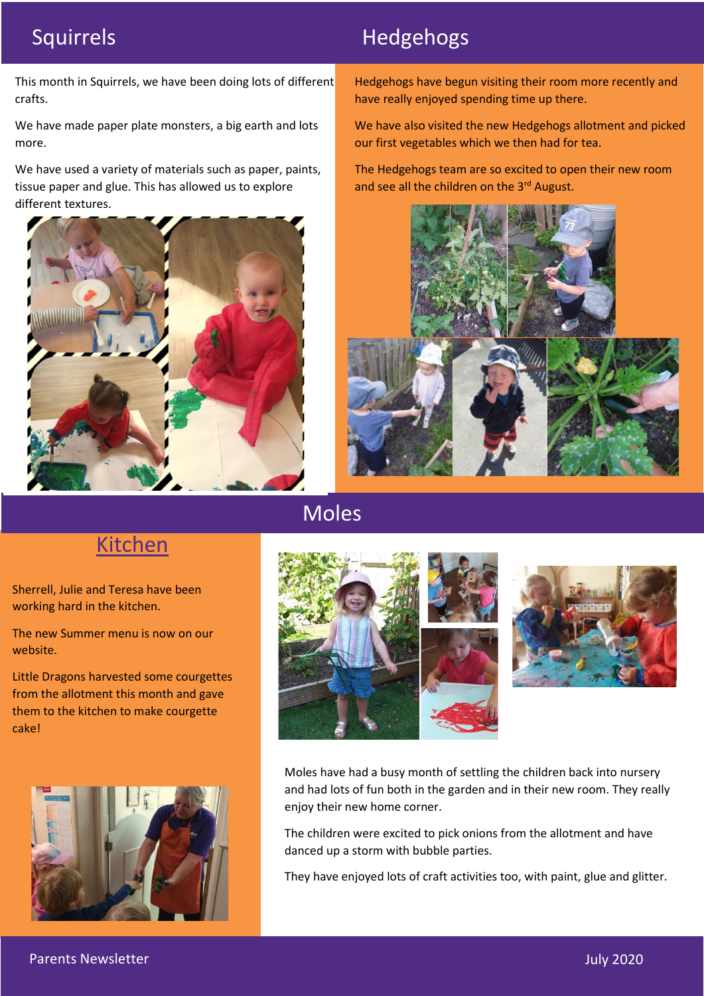# Squirrels **Hedgehogs**

This month in Squirrels, we have been doing lots of different crafts.

We have made paper plate monsters, a big earth and lots more.

We have used a variety of materials such as paper, paints, tissue paper and glue. This has allowed us to explore different textures.



Hedgehogs have begun visiting their room more recently and have really enjoyed spending time up there.

We have also visited the new Hedgehogs allotment and picked our first vegetables which we then had for tea.

The Hedgehogs team are so excited to open their new room and see all the children on the 3rd August.



## Moles



Sherrell, Julie and Teresa have been working hard in the kitchen.

The new Summer menu is now on our website.

Little Dragons harvested some courgettes from the allotment this month and gave them to the kitchen to make courgette cake!







Moles have had a busy month of settling the children back into nursery and had lots of fun both in the garden and in their new room. They really enjoy their new home corner.

The children were excited to pick onions from the allotment and have danced up a storm with bubble parties.

They have enjoyed lots of craft activities too, with paint, glue and glitter.